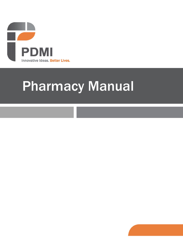

# Pharmacy Manual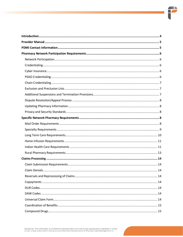$\blacksquare$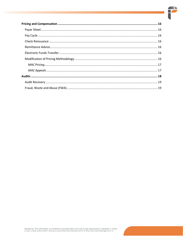$\blacksquare$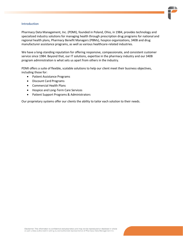#### <span id="page-3-0"></span>**Introduction**

Pharmacy Data Management, Inc. (PDMI), founded in Poland, Ohio, in 1984, provides technology and specialized industry solutions for managing health through prescription drug programs for national and regional health plans, Pharmacy Benefit Managers (PBMs), hospice organizations, 340B and drug manufacturer assistance programs, as well as various healthcare-related industries.

We have a long-standing reputation for offering responsive, compassionate, and consistent customer service since 1984. Beyond that, our IT solutions, expertise in the pharmacy industry and our 340B program administration is what sets us apart from others in the industry.

PDMI offers a suite of flexible, scalable solutions to help our client meet their business objectives, including those for:

- Patient Assistance Programs
- Discount Card Programs
- Commercial Health Plans
- Hospice and Long-Term Care Services
- Patient Support Programs & Administrators

Our proprietary systems offer our clients the ability to tailor each solution to their needs.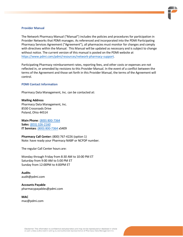

## <span id="page-4-0"></span>**Provider Manual**

The Network Pharmacy Manual ("Manual") includes the policies and procedures for participation in Provider Networks that PDMI manages. As referenced and incorporated into the PDMI Participating Pharmacy Services Agreement ("Agreement"), all pharmacies must monitor for changes and comply with directives within the Manual. This Manual will be updated as necessary and is subject to change without notice. The current version of this manual is posted on the PDMI website at [https://www.pdmi.com/pdmi/resources/network-pharmacy-support.](https://www.pdmi.com/pdmi/resources/network-pharmacy-support)

Participating Pharmacy reimbursement rates, reporting fees, and other costs or expenses are not reflected in, or amended by revisions to this Provider Manual. In the event of a conflict between the terms of the Agreement and those set forth in this Provider Manual, the terms of the Agreement will control.

## <span id="page-4-1"></span>**PDMI Contact Information**

Pharmacy Data Management, Inc. can be contacted at:

**Mailing Address** Pharmacy Data Management, Inc. 8530 Crossroads Drive Poland, Ohio 44514

**Main Phone**[: \(800\) 800-7364](tel:800-800-7364) **Sales**: [\(855\) 326-2160](tel:855-326-2160) **IT Services**: [\(800\) 800-7364](tel:800-800-7364) x5409

**Pharmacy Call Center:** (800) 767-4226 (option 1) Note: have ready your Pharmacy NABP or NCPDP number.

The regular Call Center hours are:

Monday through Friday from 8:30 AM to 10:00 PM ET Saturday from 9:00 AM to 5:00 PM ET Sunday from 12:00PM to 4:00PM ET

**Audits** audit@pdmi.com

**Accounts Payable** [pharmacypayables@pdmi.com](mailto:pharmacypayables@pdmi.com)

**MAC**  [mac@pdmi.com](mailto:mac@pdmi.com)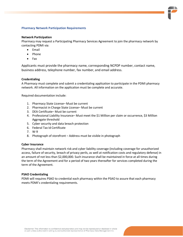# <span id="page-5-0"></span>**Pharmacy Network Participation Requirements**

# <span id="page-5-1"></span>**Network Participation**

Pharmacy may request a Participating Pharmacy Services Agreement to join the pharmacy network by contacting PDMI via:

- Email
- Phone
- Fax

Applicants must provide the pharmacy name, corresponding NCPDP number, contact name, business address, telephone number, fax number, and email address.

# <span id="page-5-2"></span>**Credentialing**

A Pharmacy must complete and submit a credentialing application to participate in the PDMI pharmacy network. All information on the application must be complete and accurate.

Required documentation include:

- 1. Pharmacy State License– Must be current
- 2. Pharmacist in Charge State License– Must be current
- 3. DEA Certificate– Must be current
- 4. Professional Liability Insurance– Must meet the \$1 Million per claim or occurrence, \$3 Million Aggregate threshold
- 5. Cyber security and data breach protection
- 6. Federal Tax Id Certificate
- 7. W-9
- 8. Photograph of storefront Address must be visible in photograph

# <span id="page-5-3"></span>**Cyber Insurance**

Pharmacy shall maintain network risk and cyber liability coverage (including coverage for unauthorized access, failure of security, breach of privacy perils, as well at notification costs and regulatory defense) in an amount of not less than \$2,000,000. Such insurance shall be maintained in force at all times during the term of the Agreement and for a period of two years thereafter for services completed during the term of the Agreement.

# <span id="page-5-4"></span>**PSAO Credentialing**

PDMI will requires PSAO to credential each pharmacy within the PSAO to assure that each pharmacy meets PDMI's credentialing requirements.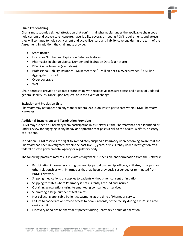# <span id="page-6-0"></span>**Chain Credentialing**

Chains must submit a signed attestation that confirms all pharmacies under the applicable chain code hold current and active state licensure, have liability coverage meeting PDMI requirements and attests they will continue to hold such current and active licensure and liability coverage during the term of the Agreement. In addition, the chain must provide:

- **Store Roster**
- Licensure Number and Expiration Date (each store)
- Pharmacist-in-charge License Number and Expiration Date (each store)
- DEA License Number (each store)
- Professional Liability Insurance Must meet the \$1 Million per claim/occurrence, \$3 Million Aggregate threshold
- Cyber coverage
- W-9

Chain agrees to provide an updated store listing with respective licensure status and a copy of updated general liability insurance upon request, or in the event of change.

## <span id="page-6-1"></span>**Exclusion and Preclusion Lists**

Pharmacy may not appear on any state or federal exclusion lists to participate within PDMI Pharmacy Networks.

# <span id="page-6-2"></span>**Additional Suspensions and Termination Provisions**

PDMI may suspend a Pharmacy from participation in its Network if the Pharmacy has been identified or under review for engaging in any behavior or practice that poses a risk to the health, welfare, or safety of a Patient.

In addition, PDMI reserves the right to immediately suspend a Pharmacy upon becoming aware that the Pharmacy has been investigated, within the past five (5) years, or is currently under investigation by a federal or state governmental agency or regulatory body.

The following practices may result in claims chargeback, suspension, and termination from the Network:

- Participating Pharmacies sharing ownership, partial ownership, officers, affiliates, principals, or other relationships with Pharmacies that had been previously suspended or terminated from PDMI's Network
- Shipping medications or supplies to patients without their consent or initiation
- Shipping to states where Pharmacy is not currently licensed and insured
- Obtaining prescriptions using telemarketing companies or services
- Submitting a large number of test claims
- Not collecting applicable Patient copayments at the time of Pharmacy service
- Failure to cooperate or provide access to books, records, or the facility during a PDMI initiated onsite audit
- Discovery of no onsite pharmacist present during Pharmacy's hours of operation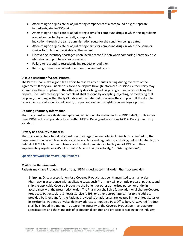- Attempting to adjudicate or adjudicating components of a compound drug as separate ingredients, single-NDC claims
- Attempting to adjudicate or adjudicating claims for compound drugs in which the ingredients are not supported by a medically acceptable indication through the same administration route for the condition being treated
- Attempting to adjudicate or adjudicating claims for compound drugs in which the same or similar formulation is available on the market
- Discovering inventory shortages upon invoice reconciliation when comparing Pharmacy drug utilization and purchase invoice records
- Failure to respond to recredentialing request or audit; or
- Refusing to service a Patient due to reimbursement rates.

# <span id="page-7-0"></span>**Dispute Resolution/Appeal Process**

The Parties shall make a good faith effort to resolve any disputes arising during the term of the Agreement. If they are unable to resolve the dispute through informal discussions, either Party may submit a written complaint to the other party describing and proposing a manner of resolving that dispute. The Party receiving that complaint shall respond by accepting, rejecting, or modifying that proposal, in writing, within thirty (30) days of the date that it receives the complaint. If the dispute cannot be resolved as indicated herein, the parties reserve the right to pursue legal options.

# <span id="page-7-1"></span>**Updating Pharmacy Information**

Pharmacy must update its demographic and affiliation information in its NCPDP DataQ profile in real time. PDMI will rely upon data listed within NCPDP DataQ profile as using NCPDP DataQ is industry standard.

# <span id="page-7-2"></span>**Privacy and Security Standards**

Pharmacy will adhere to industry best practices regarding security, including but not limited to, the requirements under applicable state and federal laws and regulations, including, but not limited to, the federal HITECH Act, the Health Insurance Portability and Accountability Act of 1996 and their implementing regulations, 45 C.F.R. parts 160 and 164 (collectively, "HIPAA Regulations").

# <span id="page-7-3"></span>**Specific Network Pharmacy Requirements**

# <span id="page-7-4"></span>**Mail Order Requirements**

Patients may have Products filled through PDMI's designated mail order Pharmacy provider.

i. **Shipping.** Once a prescription for a Covered Product has been transmitted to a mail order Pharmacy in accordance with applicable Laws, such Pharmacy will promptly prepare, package, and ship the applicable Covered Product to the Patient or other authorized person or entity in accordance with the prescription order. The Pharmacy shall ship (at no additional charge) Covered Product to Patients via U.S. Postal Service (USPS) or other appropriate carrier to the address provided by Client and/or the Patient, provided such addresses are located in the United States or its territories. Patient's physical delivery address cannot be a Post Office box. All Covered Product shall be shipped in a manner to assure the integrity of the Covered Product per manufacturer specifications and the standards of professional conduct and practice prevailing in the industry,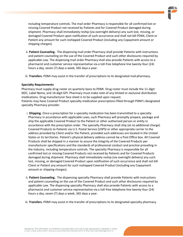including temperature controls. The mail order Pharmacy is responsible for all confirmed lost or missing Covered Product not received by Patients and for Covered Product damaged during shipment. Pharmacy shall immediately reship (via overnight delivery) any such lost, missing, or damaged Covered Product upon notification of such occurrence and shall not bill PDMI, Client or Patient any amount for such reshipped Covered Product (including any Copayment amount or shipping charges).

- ii. **Patient Counseling.** The dispensing mail order Pharmacy shall provide Patients with instructions and patient counseling on the use of the Covered Product and such other disclosures required by applicable Law. The dispensing mail order Pharmacy shall also provide Patients with access to a pharmacist and customer service representative via a toll-free telephone line twenty-four (24) hours a day, seven (7) days a week, 365 days a year.
- iii. **Transfers.** PDMI may assist in the transfer of prescriptions to its designated mail pharmacy.

## <span id="page-8-0"></span>**Specialty Requirements**

Pharmacy must supply drug roster on quarterly basis to PDMI. Drug roster must include the 11-digit NDC, Label Name, and 14-digit GPI. Pharmacy must make note of any limited or exclusive distribution medications. Drug manufacturer face sheet is to be supplied upon request. Patients may have Covered Product specialty medication prescriptions filled through PDMI's designated specialty Pharmacy provider.

- i. **Shipping.** Once a prescription for a specialty medication has been transmitted to a specialty Pharmacy in accordance with applicable Laws, such Pharmacy will promptly prepare, package and ship the applicable Covered Product to the Patient or other authorized person or entity in accordance with the prescription order. The specialty Pharmacy shall ship (at no additional charge) Covered Products to Patients via U.S. Postal Service (USPS) or other appropriate carrier to the address provided by Client and/or the Patient, provided such addresses are located in the United States or its territories. Patient's physical delivery address cannot be a Post Office box. All Covered Products shall be shipped in a manner to assure the integrity of the Covered Products per manufacturer specifications and the standards of professional conduct and practice prevailing in the industry, including temperature controls. The specialty Pharmacy is responsible for all confirmed lost or missing Covered Products not received by Patients and for Covered Products damaged during shipment. Pharmacy shall immediately reship (via overnight delivery) any such lost, missing, or damaged Covered Product upon notification of such occurrence and shall not bill Client or Patient any amount for such reshipped Covered Product (including any Copayment amount or shipping charges).
- ii. **Patient Counseling.** The dispensing specialty Pharmacy shall provide Patients with instructions and patient counseling on the use of the Covered Product and such other disclosures required by applicable Law. The dispensing specialty Pharmacy shall also provide Patients with access to a pharmacist and customer service representative via a toll-free telephone line twenty-four (24) hours a day, seven (7) days a week, 365 days a year.
- iii. **Transfers.** PDMI may assist in the transfer of prescriptions to its designated specialty pharmacy.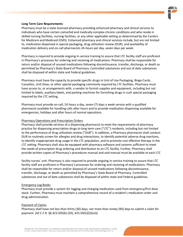#### <span id="page-9-0"></span>**Long Term Care Requirements**

Pharmacy must be a state-licensed pharmacy providing enhanced pharmacy and clinical services to individuals who have certain comorbid and medically complex chronic conditions and who reside in skilled nursing facilities, nursing facilities, or any other applicable setting as determined by the Centers for Medicare and Medicaid (CMS). Enhanced pharmacy and clinical services include, but are not limited to, medication dispensed in special packaging, drug utilization review (DUR), and availability of medication delivery and on-call pharmacists 24-hours per day, seven days per week.

Pharmacy is required to provide ongoing in-service training to assure that LTC facility staff are proficient in Pharmacy's processes for ordering and receiving of medications. Pharmacy shall be responsible for return and/or disposal of unused medications following discontinuance, transfer, discharge, or death as permitted by Pharmacy's State Board of Pharmacy. Controlled substances and out of date substances shall be disposed of within state and Federal guidelines.

Pharmacy must have the capacity to provide specific drugs in Unit of Use Packaging, Bingo Cards, Cassettes, Unit Dose, or other special packaging commonly required by LTC facilities. Pharmacy must have access to, or arrangements with, a vendor to furnish supplies and equipment, including but not limited to labels, auxiliary labels, and packing machines for furnishing drugs in such special packaging required by the LTC setting.

Pharmacy must provide on-call, 24 hours a day, seven (7) days a week service with a qualified pharmacist available for handling calls after hours and to provide medication dispensing available for emergencies, holidays and after hours of normal operations.

#### Pharmacy Operations and Prescription Orders

Pharmacy shall provide services of a dispensing pharmacist to meet the requirements of pharmacy practice for dispensing prescription drugs to long term care ("LTC") residents, including but not limited to the performance of drug utilization review ("DUR"). In addition, a Pharmacy pharmacist shall conduct DUR to routinely screen for allergies and drug interactions, to identify potential adverse drug reactions, to identify inappropriate drug usage in the LTC population, and to promote cost effective therapy in the LTC setting. Pharmacy shall also be equipped with pharmacy software and systems sufficient to meet the needs of prescription drug ordering and distribution to an LTC facility. Further, Pharmacy shall provide written copies of Pharmacy's procedures manual and said manual must be available at each LTC

facility nurses' unit. Pharmacy is also required to provide ongoing in-service training to assure that LTC facility staff are proficient in Pharmacy's processes for ordering and receiving of medications. Pharmacy shall be responsible for return and/or disposal of unused medications following discontinuance, transfer, discharge, or death as permitted by Pharmacy's State Board of Pharmacy. Controlled substances and out of date substances shall be disposed of within state and Federal guidelines.

#### Emergency Log Books

Pharmacy must provide a system for logging and charging medication used from emergency/first dose stock. Further, Pharmacy must maintain a comprehensive record of a resident's medication order and drug administration.

#### Payment of Claims

Pharmacy shall have not less than thirty (30) days, nor more than ninety (90) days to submit a claim for payment. (42 C.F.R. §§ 423.505(b) (20), 423.505(i)(3)(vii)).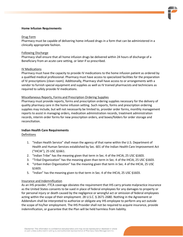# <span id="page-10-0"></span>**Home Infusion Requirements**

## Drug Form

Pharmacy must be capable of delivering home-infused drugs in a form that can be administered in a clinically appropriate fashion.

# Following Discharge

Pharmacy shall ensure that all home infusion drugs be delivered within 24 hours of discharge of a Beneficiary from an acute care setting, or later if so prescribed.

## IV Medications

Pharmacy must have the capacity to provide IV medications to the home infusion patient as ordered by a qualified medical professional. Pharmacy must have access to specialized facilities for the preparation of IV prescriptions (clean room). Additionally, Pharmacy shall have access to or arrangements with a vendor to furnish special equipment and supplies as well as IV trained pharmacists and technicians as required to safely provide IV medications.

## Miscellaneous Reports, Forms and Prescription Ordering Supplies

Pharmacy must provide reports, forms and prescription ordering supplies necessary for the delivery of quality pharmacy care in the home infusion setting. Such reports, forms and prescription ordering supplies may include, but will not necessarily be limited to, provider order forms, monthly management reports to assist in managing orders, medication administration records, treatment administration records, interim order forms for new prescription orders, and boxes/folders for order storage and reconciliation.

# <span id="page-10-1"></span>**Indian Health Care Requirements**

# Definitions

- 1. "Indian Health Service" shall mean the agency of that name within the U.S. Department of Health and Human Services established by Sec. 601 of the Indian Health Care Improvement Act ("IHCIA"), 25 USC §1661.
- 2. "Indian Tribe" has the meaning given that term in Sec. 4 of the IHCIA, 25 USC §1603.
- 3. "Tribal Organization" has the meaning given than term in Sec. 4 of the IHCIA, 25 USC §1603.
- 4. "Urban Indian Organization" has the meaning given that term in Sec. 4 of the IHCIA, 25 USC §1603.
- 5. "Indian" has the meaning given to that term in Sec. 4 of the IHCIA, 25 USC §1603.

# Insurance and Indemnification

As an IHS provider, FTCA coverage obviates the requirement that IHS carry private malpractice insurance as the United States consents to be sued in place of federal employees for any damages to property or for personal injury or death caused by the negligence or wrongful act or omission of federal employees acting within the scope of their employment. 28 U.S.C. § 2671-2680. Nothing in the Agreement or Addendum shall be interpreted to authorize or obligate any IHS employee to perform any act outside the scope of his/her employment. The IHS Provider shall not be required to acquire insurance, provide indemnification, or guarantee that the Plan will be held harmless from liability.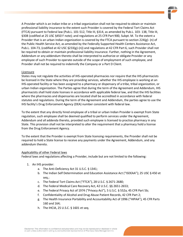A Provider which is an Indian tribe or a tribal organization shall not be required to obtain or maintain professional liability insurance to the extent such Provider is covered by the Federal Tort Claims Act (FTCA) pursuant to Federal law (Pub.L. 101-512, Title III, §314, as amended by Pub.L. 103- 138, Title III, §308 (codified at 25 USC §450 F note); and regulations at 25 CFR Part 900, Subpt. M. To the extent a Provider that is an urban Indian organization is covered by the FTCA pursuant to section 224(g)- (n) of the Public Health Service Act, as amended by the Federally Supported Health Centers Assistance Act, Pub.L. 104-73, (codified at 42 USC §233(g)-(n)) and regulations at 42 CFR Part 6, such Provider shall not be required to obtain or maintain professional liability insurance. Further, nothing in the Agreement, Addendum or any addendum thereto shall be interpreted to authorize or obligate Provider or any employee of such Provider to operate outside of the scope of employment of such employee, and Provider shall not be required to indemnify the Company or a Part D Client.

# **Licensure**

States may not regulate the activities of IHS-operated pharmacies nor require that the IHS pharmacists be licensed in the State where they are providing services, whether the IHS employee is working at an IHS-operated facility or has been assigned to a pharmacy or dispensary of a tribe, tribal organization, or urban Indian organization. The Parties agree that during the term of the Agreement and Addendum, IHS pharmacists shall hold state licenses in accordance with applicable federal law, and that the IHS facilities where the pharmacies and dispensaries are located shall be accredited in accordance with federal statutes and regulations. During the term of the Agreement and Addendum, the parties agree to use the IHS facility's Drug Enforcement Agency (DEA) number consistent with federal law.

To the extent that any directly hired employee of a tribal or urban Indian Provider is exempt from State regulation, such employee shall be deemed qualified to perform services under the Agreement, Addendum and all addenda thereto, provided such employee is licensed to practice pharmacy in any State. This provision shall not be interpreted to alter the requirement that a pharmacy hold a license from the Drug Enforcement Agency.

To the extent that the Provider is exempt from State licensing requirements, the Provider shall not be required to hold a State license to receive any payments under the Agreement, Addendum, and any addendum thereto.

# Applicability of other Federal laws

Federal laws and regulations affecting a Provider, include but are not limited to the following:

- 1. An IHS provider:
	- a. The Anti-Deficiency Act 31 U.S.C. § 1341;
	- b. The Indian Self Determination and Education Assistance Act ("ISDEAA"); 25 USC § 450 et seq.;
	- c. The Federal Tort Claims Act ("FTCA"), 28 U.S.C. § 2671-2680;
	- d. The Federal Medical Care Recovery Act, 42 U.S.C. §§ 2651-2653;
	- e. The Federal Privacy Act of 1974 ("Privacy Act"), 5 U.S.C. § 552a, 45 CFR Part 5b;
	- f. Confidentiality of Alcohol and Drug Abuse Patient Records, 42 CFR Part 2;
	- g. The Health Insurance Portability and Accountability Act of 1996 ("HIPAA"), 45 CFR Parts 160 and 164;
	- h. The IHCIA, 25 U.S.C. § 1601 et seq.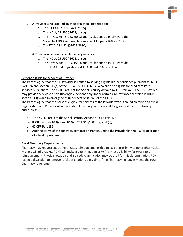- 2. A Provider who is an Indian tribe or a tribal organization:
	- a. The ISDEAA, 25 USC §450 et seq.;
	- b. The IHCIA, 25 USC §1601, et seq.;
	- c. The Privacy Act, 5 USC §552a and regulations at 45 CFR Part 5b;
	- d. 5.2.e The HIPAA and regulations at 45 CFR parts 160 and 164.
	- e. The FTCA, 28 USC §§2671-2680;
- 3. A Provider who is an urban Indian organization:
	- a. The IHCIA, 25 USC §1601, et seq.;
	- b. The Privacy Act, 5 USC §552a and regulations at 45 CFR Part 5b;
	- c. The HIPAA and regulations at 45 CFR parts 160 and 164.

# Persons eligible for services of Provider

The Parties agree that the IHS Provider is limited to serving eligible IHS beneficiaries pursuant to 42 CFR Part 136 and section 813(a) of the IHCIA, 25 USC §1680c: who are also eligible for Medicare Part D services pursuant to Title XVIII, Part D of the Social Security Act and 42 CFR Part 423. The IHS Provider may provide services to non-IHS eligible persons only under certain circumstances set forth in IHCIA section 813(b) and in emergencies under section 813(c) of the IHCIA.

The Parties agree that the persons eligible for services of the Provider who is an Indian tribe or a tribal organization or a Provider who is an urban Indian organization shall be governed by the following authorities:

- a) Title XVIII, Part D of the Social Security Act and 42 CFR Part 423;
- b) IHCIA sections 813(a) and 813(c), 25 USC §1680c (a) and (c);
- c) 42 CFR Part 136;
- d) And the terms of the contract, compact or grant issued to the Provider by the IHS for operation of a health program.

# <span id="page-12-0"></span>**Rural Pharmacy Requirements**

Pharmacy may request special rural rates reimbursements due to lack of proximity to other pharmacies within a 15-mile radius. PDMI will make a determination as to Pharmacy eligibility for rural rates reimbursement. Physical location and zip code classification may be used for this determination. PDMI has sole discretion to remove rural designation at any time if the Pharmacy no longer meets the rural pharmacy requirements.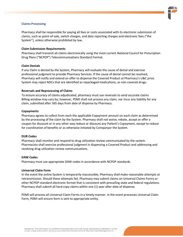#### <span id="page-13-0"></span>**Claims Processing**

Pharmacy shall be responsible for paying all fees or costs associated with its electronic submission of claims, such as point-of-sale, switch charges, and data reporting charges and electronic fees ("the System"), unless otherwise prohibited by law.

## <span id="page-13-1"></span>**Claim Submission Requirements**

Pharmacy shall transmit all claims electronically using the most current National Council for Prescription Drug Plans ("NCPDP") Telecommunications Standard Format.

## <span id="page-13-2"></span>**Claim Denials**

If any Claim is denied by the System, Pharmacy will evaluate the cause of denial and exercise professional judgment to provide Pharmacy Services. If the cause of denial cannot be resolved, Pharmacy will notify and extend an offer to dispense the Covered Product at Pharmacy's U&C price. System may reject NDCs that are identified as repackaged medications, as non-covered drugs.

#### <span id="page-13-3"></span>**Reversals and Reprocessing of Claims**

To ensure accuracy of claims adjudicated, pharmacy must use reversals to send accurate claims Billing window may vary by; however, PDMI shall not process any claim, nor incur any liability for any claim, submitted after 365 days from date of dispense by Pharmacy.

#### <span id="page-13-4"></span>**Copayments**

Pharmacy agrees to collect from each the applicable Copayment amount on each claim as determined by the processing of the claim by the System. Pharmacy shall not waive, rebate, accept or offer a coupon for discount or in any other way reduce or discount any Patient's Copayment, except to reduce for coordination of benefits or as otherwise initiated by Companyor the System.

#### <span id="page-13-5"></span>**DUR Codes**

Pharmacy shall monitor and respond to drug utilization review communicated by the system. Pharmacists shall exercise professional judgment in dispensing a Covered Product and addressing and resolving drug utilization review communications.

#### <span id="page-13-6"></span>**DAW Codes**

Pharmacy must use appropriate DAW codes in accordance with NCPDP standards.

#### <span id="page-13-7"></span>**Universal Claim Form**

In the event the online System is temporarily inaccessible, Pharmacy shall make reasonable attempts at retransmission. Should these attempts fail, Pharmacy may submit claims on Universal Claims Forms or other NCPDP-standard electronic format that is consistent with prevailing state and federal regulations. Pharmacy shall submit all hard copy claims within one (1) year after date of dispense.

PDMI will process all Universal Claim Forms in a timely manner. In the event processes Universal Claim Form, PDMI will ensure form is sent to appropriate entity.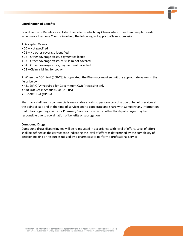# <span id="page-14-0"></span>**Coordination of Benefits**

Coordination of Benefits establishes the order in which pay Claims when more than one plan exists. When more than one Client is involved, the following will apply to Claim submission:

- 1. Accepted Values:
- 00 Not specified
- 01 No other coverage identified
- 02 Other coverage exists, payment collected
- 03 Other coverage exists, this Claim not covered
- 04 Other coverage exists, payment not collected
- 08 Claim is billing for copay

2. When the COB field (308-C8) is populated, the Pharmacy must submit the appropriate values in the fields below:

- 431-DV: OPA\*required for Government COB Processing only
- 430-DU: Gross Amount Due (OPPRA)
- 352-NQ: PRA (OPPRA

Pharmacy shall use its commercially reasonable efforts to perform coordination of benefit services at the point of sale and at the time of service; and to cooperate and share with Company any information that it has regarding claims for Pharmacy Services for which another third-party payer may be responsible due to coordination of benefits or subrogation.

# <span id="page-14-1"></span>**Compound Drugs**

Compound drugs dispensing fee will be reimbursed in accordance with level of effort. Level of effort shall be defined as the correct code indicating the level of effort as determined by the complexity of decision making or resources utilized by a pharmacist to perform a professional service.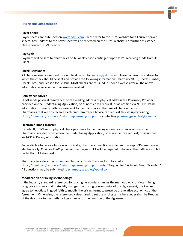## <span id="page-15-0"></span>**Pricing and Compensation**

## <span id="page-15-1"></span>**Payer Sheet**

Payer Sheets are published o[n www.pdmi.com.](http://www.pdmi.com/) Please refer to the PDMI website for all current payer sheets. Any updates to the payer sheet will be reflected on the PDMI website. For further assistance, please contact PDMI directly.

# <span id="page-15-2"></span>**Pay Cycle**

Payment will be sent to pharmacies on bi-weekly basis contingent upon PDMI receiving funds from its Client.

# <span id="page-15-3"></span>**Check Reissuance**

All check reissuance requests should be directed to [finance@pdmi.com.](mailto:finance@pdmi.com) Please confirm the address to which the check should be sent and provide the following information: Pharmacy NABP, Check Number, Check Total, and Reason for Reissue. Most checks are reissued in under 3 weeks after all the above information is received and reissuance verified.

## <span id="page-15-4"></span>**Remittance Advice**

PDMI sends physical remittances to the mailing address or physical address the Pharmacy Provider provided on the Credentialing Application, or as notified via request, or as notified via NCPDP DataQ information. These remittances are sent to the pharmacy at the time of check issuance. Pharmacies that wish to receive Electronic Remittance Advice can request this set up by visiting <https://pdmi.com/resources/network-pharmacy-support> or contacting [pharmacypayables@pdmi.com.](mailto:pharmacypayables@pdmi.com)

# <span id="page-15-5"></span>**Electronic Funds Transfer**

By default, PDMI sends physical check payments to the mailing address or physical address the Pharmacy Provider provided on the Credentialing Application, or as notified via request, or as notified via NCPDP DataQ information.

To be eligible to receive funds electronically, pharmacy must first also agree to accept 835 remittances electronically. Chain or PSAO providers that request EFT will be required to have all their affiliates to fall under that EFT standard.

Pharmacy Providers may submit an Electronic Funds Transfer form located at <https://pdmi.com/resources/network-pharmacy-support> under "Request for Electronic Funds Transfer." All questions may be submitted t[o pharmacypayables@pdmi.com.](mailto:pharmacypayables@pdmi.com)

#### <span id="page-15-6"></span>**Modification of Pricing Methodology**

If the industry standard referenced for pricing hereunder changes the methodology for determining drug price in a way that materially changes the pricing or economics of this Agreement, the Parties agree to negotiate in good faith to modify the pricing terms to preserve the relative economics of the Agreement. Otherwise, the referenced values used to set the pricing terms hereunder shall be fixed as of the day prior to the methodology change for the duration of the Agreement.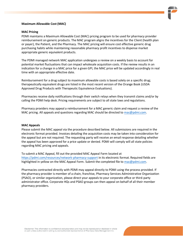## **Maximum Allowable Cost (MAC)**

## <span id="page-16-0"></span>**MAC Pricing**

PDMI maintains a Maximum Allowable Cost (MAC) pricing program to be used for pharmacy provider reimbursement on generic products. The MAC program aligns the incentives for the Client (health plan or payer), the Patient, and the Pharmacy. The MAC pricing will ensure cost effective generic drug purchasing habits while maintaining reasonable pharmacy profit incentives to dispense market appropriate generic equivalent products.

The PDMI managed network MAC application undergoes a review on a weekly basis to account for potential market fluctuations that can impact wholesale acquisition costs. If the review results in an indication for a change in a MAC price for a given GPI, the MAC price will be updated accordingly in real time with an appropriate effective date.

Reimbursement for a drug subject to maximum allowable costs is based solely on a specific drug; therapeutically equivalent drugs are listed in the most recent version of the Orange Book (USDA Approved Drug Products with Therapeutic Equivalence Evaluations).

Pharmacies receive daily notifications through their switch relays when they transmit claims and/or by calling the PDMI help desk. Pricing requirements are subject to all state laws and regulations.

Pharmacy providers may appeal a reimbursement for a MAC generic claim and request a review of the MAC pricing. All appeals and questions regarding MAC should be directed to [mac@pdmi.com.](mailto:mac@pdmi.com)

#### <span id="page-16-1"></span>**MAC Appeals**

Please submit the MAC appeal via the procedure described below. All submissions are required in the electronic format provided. Invoices detailing the acquisition costs may be taken into consideration for the appeal but are not required. The requesting party will receive an email response detailing whether the appeal has been approved for a price update or denied. PDMI will comply will all state policies regarding MAC pricing and appeals.

To submit a MAC Appeal, fill out the provided MAC Appeal Form located at <https://pdmi.com/resources/network-pharmacy-support> in its electronic format. Required fields are highlighted in yellow on the MAC Appeal Form. Submit the completed file t[o mac@pdmi.com.](mailto:mac@pdmi.com)

Pharmacies contracted directly with PDMI may appeal directly to PDMI using the process provided. If the pharmacy provider is member of a chain, franchise, Pharmacy Services Administrative Organization (PSAO), or similar organization, please direct your appeals to your corporate office or third-party administrator office. Corporate HQs and PSAO groups can then appeal on behalf of all their member pharmacy providers.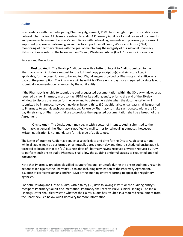## <span id="page-17-0"></span>**Audits**

In accordance with the Participating Pharmacy Agreement, PDMI has the right to perform audits of our network pharmacies. All claims are subject to audit. A Pharmacy Audit is a formal review of documents and processes to ensure pharmacy's compliance with network agreements and pharmacy processes. An important purpose in performing an audit is to support overall Fraud, Waste and Abuse (FWA) monitoring of pharmacy claims with the goal of maintaining the integrity of our national Pharmacy Network. Please refer to the below section "Fraud, Waste and Abuse (FWA)" for more information.

#### Process and Procedures

**Desktop Audit**: The Desktop Audit begins with a Letter of Intent to Audit submitted to the Pharmacy, which includes a request for the full hard copy prescription(s) and signature logs, if applicable, for the prescriptions to be audited. Digital images provided by Pharmacy shall suffice as a copy of the prescription. The Pharmacy will have thirty (30) calendar days, or as required by state law, to submit all documentation requested by the audit entity.

If the Pharmacy is unable to submit the audit requested documentation within the 30-day window, or as required by law, Pharmacy must contact PDMI or its auditing entity prior to the end of the 30-day window to discuss the reason for the delay and to determine a date when the documentation will submitted by Pharmacy; however, no delay beyond thirty (30) additional calendar days shall be granted to Pharmacy to submit such documentation. Failure by Pharmacy to make such contact within the 30 day timeframe, or Pharmacy's failure to produce the requested documentation shall be a breach of the Agreement.

**Onsite Audit**: The Onsite Audit may begin with a Letter of Intent to Audit submitted to the Pharmacy. In general, the Pharmacy is notified via mail carrier for scheduling purposes; however, written notification is not mandatory for this type of audit to occur.

The Letter of Intent to Audit may request a specific date and time for the Onsite Audit to occur and while all audits may be performed on a mutually agreed-upon day and time, a scheduled onsite audit is targeted to begin within ten (10) business days of Pharmacy having received a written request by PDMI to perform such onsite audit. Pharmacy shall allow the auditing entity full access to requested audited documents.

Note that Pharmacy practices classified as unprofessional or unsafe during the onsite audit may result in actions taken against the Pharmacy up to and including termination of the Pharmacy Agreement, issuance of corrective actions and/or PDMI or the auditing entity reporting to applicable regulatory agencies.

For both Desktop and Onsite Audits, within thirty (30) days following PDMI's or the auditing entity's receipt of Pharmacy's audit documentation, Pharmacy shall receive PDMI's Initial Findings. The Initial Findings Letter shall clearly state whether the claims' audits has resulted in a required recoupment from the Pharmacy. See below Audit Recovery for more information.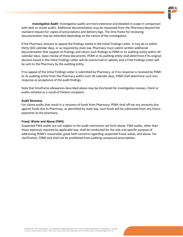**Investigative Audit**: Investigative audits are more extensive and detailed in scope in comparison with desk or onsite audits. Additional documentation may be requested from the Pharmacy beyond the standard request for copies of prescriptions and delivery logs. The time frame for reviewing documentation may be extended depending on the nature of the investigation.

If the Pharmacy chooses to appeal the findings stated in the Initial Findings Letter, it may do so within thirty (30) calendar days, or as required by state law. Pharmacy must submit written additional documentation that support its findings and return such findings to PDMI or its auditing entity within 30 calendar days. Upon review of these documents, PDMI or its auditing entity shall determine if its original decision found in the Initial Findings Letter will be overturned or upheld, and a Final Findings Letter will be sent to the Pharmacy by the auditing entity.

If no appeal of the Initial Findings Letter is submitted by Pharmacy, or if no response is received by PDMI or its auditing entity from the Pharmacy within such 30 calendar days, PDMI shall determine such nonresponse as acceptance of the audit findings.

Note that timeframe allowances described above may be shortened for investigative reviews, Client or audits initiated as a result of Patient complaint.

#### <span id="page-18-0"></span>**Audit Recovery**

For claims audits that result in a recovery of funds from Pharmacy, PDMI shall off-set any amounts due against funds due to Pharmacy, as permitted by state law, such funds will be subtracted from any future payments to the pharmacy.

#### <span id="page-18-1"></span>**Fraud, Waste and Abuse (FWA)**

Suspected FWA audits are not subject to the audit restrictions set forth above. FWA audits, other than those expressly required by applicable law, shall be conducted for the sole and specific purpose of addressing PDMI'sreasonable, good-faith concerns regarding suspected fraud, waste, and abuse. For clarification, PDMI and shall not be prohibited from auditing compound prescriptions.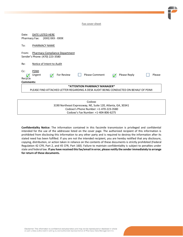**Fax cover sheet**

| DATE LISTED HERE<br>Date:<br>(XXX) XXX - XXXX<br>Pharmacy Fax:                       |                                                                                        |  |  |  |  |
|--------------------------------------------------------------------------------------|----------------------------------------------------------------------------------------|--|--|--|--|
| To:                                                                                  | PHARMACY NAME                                                                          |  |  |  |  |
| <b>Pharmacy Compliance Department</b><br>From:<br>Sender's Phone: (470) 223-3580     |                                                                                        |  |  |  |  |
| Re:                                                                                  | Notice of Intent to Audit                                                              |  |  |  |  |
| Cc:<br>Recycle                                                                       | <b>PDMI</b><br><b>Please Comment</b><br>For Review<br>Please Reply<br>Please<br>Urgent |  |  |  |  |
| Comments:                                                                            |                                                                                        |  |  |  |  |
| *ATTENTION PHARMACY MANAGER*                                                         |                                                                                        |  |  |  |  |
| PLEASE FIND ATTACHED LETTER REGARDING A DESK AUDIT BEING CONDUCTED ON BEHALF OF PDMI |                                                                                        |  |  |  |  |
|                                                                                      |                                                                                        |  |  |  |  |

Codoxo 3190 Northeast Expressway, NE, Suite 120, Atlanta, GA, 30341 Codoxo's Phone Number: +1-470-223-3580 Codoxo's Fax Number: +1-404-806-6275

**Confidentiality Notice:** The information contained in this facsimile transmission is privileged and confidential intended for the use of the addressee listed on the cover page. The authorized recipient of this information is prohibited from disclosing this information to any other party and is required to destroy the information after its stated need has been fulfilled. If you are not the intended recipient, you are hereby notified that any disclosure, copying, distribution, or action taken in reliance on the contents of these documents is strictly prohibited (Federal Regulation 42 CFR, Part 2, and 45 CFR, Part 160). Failure to maintain confidentiality is subject to penalties under state and federal law. **If you have received this fax/email in error, please notify the sender immediately to arrange for return of these documents.**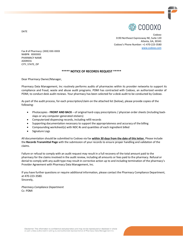

Codoxo 3190 Northeast Expressway NE, Suite 120 Atlanta, GA, 30341 Codoxo's Phone Number: +1-470-223-3580 [www.codoxo.com](http://www.codoxo.com/)

Fax # of Pharmacy: (XXX) XXX-XXXX NABP#: XXXXXXX PHARMACY NAME ADDRESS CITY, STATE, ZIP

#### **\*\*\*\*\* NOTICE OF RECORDS REQUEST \*\*\*\*\***

Dear Pharmacy Owner/Manager,

Pharmacy Data Management, Inc routinely performs audits of pharmacies within its provider networks to support its compliance and fraud, waste and abuse audit programs. PDMI has contracted with Codoxo, an authorized vendor of PDMI, to conduct desk audit reviews. Your pharmacy has been selected for a desk audit to be conducted by Codoxo.

As part of the audit process, for each prescription/claim on the attached list (below), please provide copies of the following:

- Photocopies **FRONT AND BACK**  of original hard-copy prescriptions / physician order sheets (including backslaps or any computer-generated stickers)
- Computerized dispensing records, including refill records
- Supporting documentation necessary to support the appropriateness and accuracy of the billing
- Compounding worksheet(s) with NDC #s and quantities of each ingredient billed
- Signature Logs

All documentation should be submitted to Codoxo via fax **within 30 days from the date of this letter.** Please include the **Records Transmittal Page** with the submission of your records to ensure proper handling and validation of the claims.

Failure or refusal to comply with an audit request may result in a full recovery of the total amount paid to the pharmacy for the claims involved in the audit review, including all amounts or fees paid to the pharmacy. Refusal or denial to comply with any audit type may result in corrective action up to and including termination of the pharmacy's Provider Agreement with Pharmacy Data Management, Inc.

If you have further questions or require additional information, please contact the Pharmacy Compliance Department, at 470-223-3580. Sincerely,

*Pharmacy Compliance Department* Cc: PDMI

DATE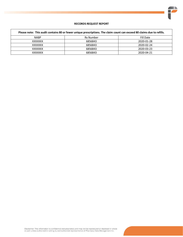

## **RECORDS REQUEST REPORT**

| Please note: This audit contains 80 or fewer unique prescriptions. The claim count can exceed 80 claims due to refills. |           |            |  |  |
|-------------------------------------------------------------------------------------------------------------------------|-----------|------------|--|--|
| <b>NABP</b>                                                                                                             | Rx Number | Fill Date  |  |  |
| <b>XXXXXXX</b>                                                                                                          | 6856843   | 2020-01-28 |  |  |
| XXXXXXX                                                                                                                 | 6856843   | 2020-02-24 |  |  |
| XXXXXXX                                                                                                                 | 6856843   | 2020-03-23 |  |  |
| XXXXXXX                                                                                                                 | 6856843   | 2020-04-21 |  |  |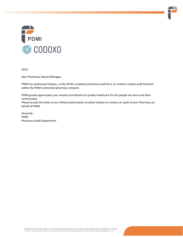

DATE

Dear Pharmacy Owner/Manager,

PDMI has authorized Codoxo, a fully HIPAA complaint pharmacy audit firm, to conduct routine audit function within the PDMI contracted pharmacy network.

PDMI greatly appreciates your shared commitment to quality healthcare for the people we serve and their communities.

Please accept this letter as our official authorization to allow Codoxo to conduct an audit of your Pharmacy on behalf of PDMI.

Sincerely, PDMI Pharmacy Audit Department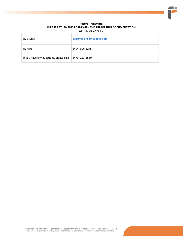#### **Record Transmittal PLEASE RETURN THIS FORM WITH THE SUPPORTING DOCUMENTATION WITHIN 30 DAYS TO:**

| By E-Mail:                              | Rxcompliance@codoxo.com |
|-----------------------------------------|-------------------------|
| By Fax:                                 | (404) 806-6275          |
| If you have any questions, please call: | (470) 223-3580          |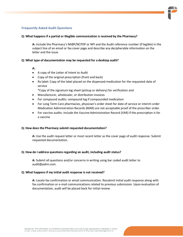# **Frequently Asked Audit Questions**

## **Q: What happens if a partial or illegible communication is received by the Pharmacy?**

**A:** Include the Pharmacy's NABP/NCPDP or NPI and the Audit reference number (if legible) in the subject line of an email or fax cover page and describe any decipherable information on the letter and the issue.

## **Q: What type of documentation may be requested for a desktop audit?**

## **A:**

- A copy of the Letter of Intent to Audit
- Copy of the original prescription (front and back)
- Rx label: Copy of the label placed on the dispensed medication for the requested date of service

\*Copy of the signature log sheet (pickup or delivery) for verification and

- Manufacturer, wholesaler, or distribution invoices
- For compound audits: compound log if compounded medication
- For Long Term Care pharmacies, physician's order sheet for date of service or interim order Medication Administration Records (MAR) are not acceptable proof of the prescriber order.
- For vaccine audits: include the Vaccine Administration Record (VAR) if the prescription is for a vaccine

#### **Q: How does the Pharmacy submit requested documentation?**

**A:** Use the audit request letter or most recent letter as the cover page of audit response. Submit requested documentation.

# **Q: How do I address questions regarding an audit, including audit status?**

**A:** Submit all questions and/or concerns in writing using bar coded audit letter to audit@pdmi.com.

#### **Q: What happens if my initial audit response is not received?**

**A:** Locate fax confirmation or email communication. Resubmit initial audit response along with fax confirmation or e-mail communications related to previous submission. Upon evaluation of documentation, audit will be placed back for initial review.